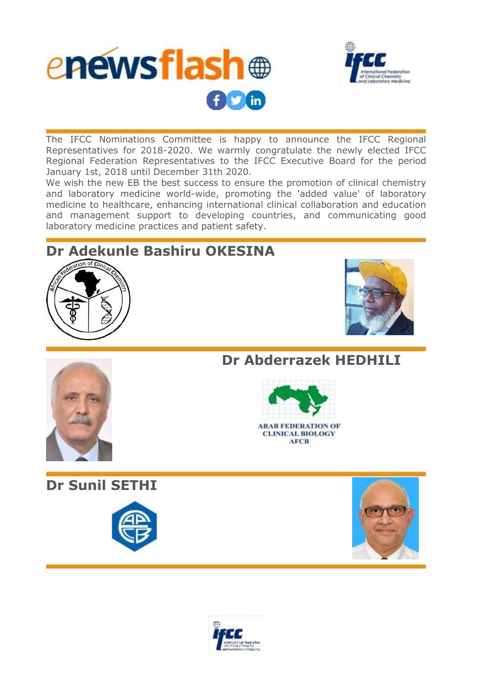



The IFCC Nominations Committee is happy to announce the IFCC Regional Representatives for 2018-2020. We warmly congratulate the newly elected IFCC Regional Federation Representatives to the IFCC Executive Board for the period January 1st, 2018 until December 31th 2020.

We wish the new EB the best success to ensure the promotion of clinical chemistry and laboratory medicine world-wide, promoting the 'added value' of laboratory medicine to healthcare, enhancing international clinical collaboration and education and management support to developing countries, and communicating good laboratory medicine practices and patient safety.

## **Dr Adekunle Bashiru OKESINA**







**Dr Sunil SETHI**

**Dr Abderrazek HEDHILI**